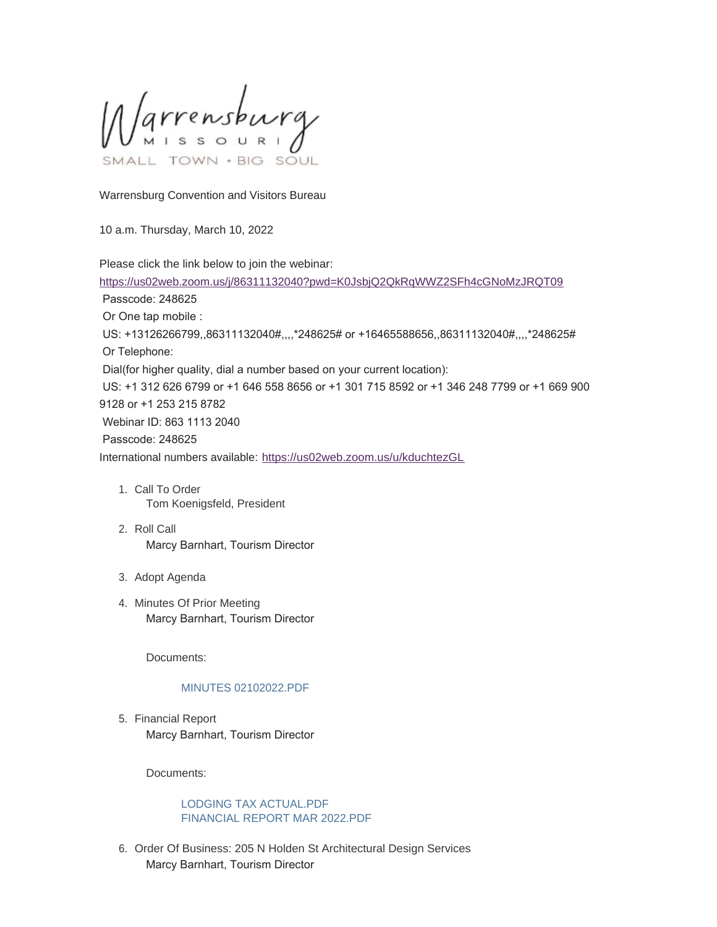Marrensburg SOUL

Warrensburg Convention and Visitors Bureau

10 a.m. Thursday, March 10, 2022

Please click the link below to join the webinar:

<https://us02web.zoom.us/j/86311132040?pwd=K0JsbjQ2QkRqWWZ2SFh4cGNoMzJRQT09> Passcode: 248625 Or One tap mobile : US: +13126266799,,86311132040#,,,,\*248625# or +16465588656,,86311132040#,,,,\*248625# Or Telephone: Dial(for higher quality, dial a number based on your current location): US: +1 312 626 6799 or +1 646 558 8656 or +1 301 715 8592 or +1 346 248 7799 or +1 669 900 9128 or +1 253 215 8782 Webinar ID: 863 1113 2040 Passcode: 248625 International numbers available: <https://us02web.zoom.us/u/kduchtezGL>

- 1. Call To Order Tom Koenigsfeld, President
- 2. Roll Call Marcy Barnhart, Tourism Director
- 3. Adopt Agenda
- 4. Minutes Of Prior Meeting Marcy Barnhart, Tourism Director

Documents:

## [MINUTES 02102022.PDF](https://www.warrensburg-mo.com/AgendaCenter/ViewFile/Item/6139?fileID=10819)

5. Financial Report Marcy Barnhart, Tourism Director

Documents:

## [LODGING TAX ACTUAL.PDF](https://www.warrensburg-mo.com/AgendaCenter/ViewFile/Item/6140?fileID=10820) [FINANCIAL REPORT MAR 2022.PDF](https://www.warrensburg-mo.com/AgendaCenter/ViewFile/Item/6140?fileID=10821)

6. Order Of Business: 205 N Holden St Architectural Design Services Marcy Barnhart, Tourism Director